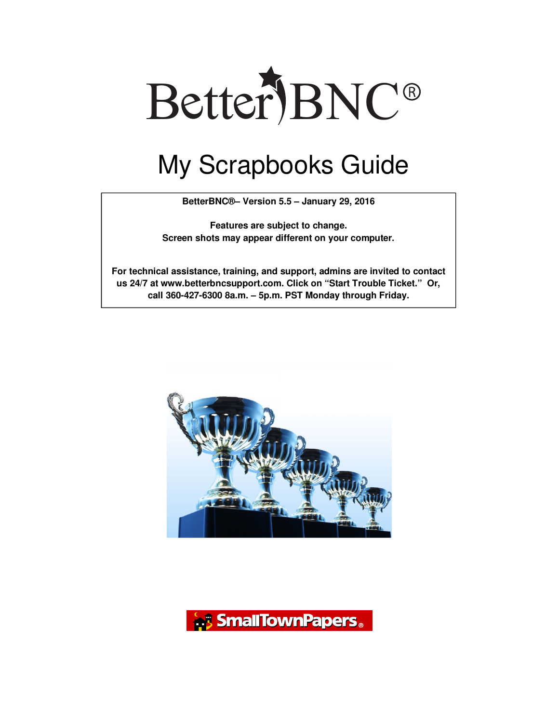

## My Scrapbooks Guide

**BetterBNC®– Version 5.5 – January 29, 2016** 

**Features are subject to change. Screen shots may appear different on your computer.** 

**For technical assistance, training, and support, admins are invited to contact us 24/7 at www.betterbncsupport.com. Click on "Start Trouble Ticket." Or, call 360-427-6300 8a.m. – 5p.m. PST Monday through Friday.** 



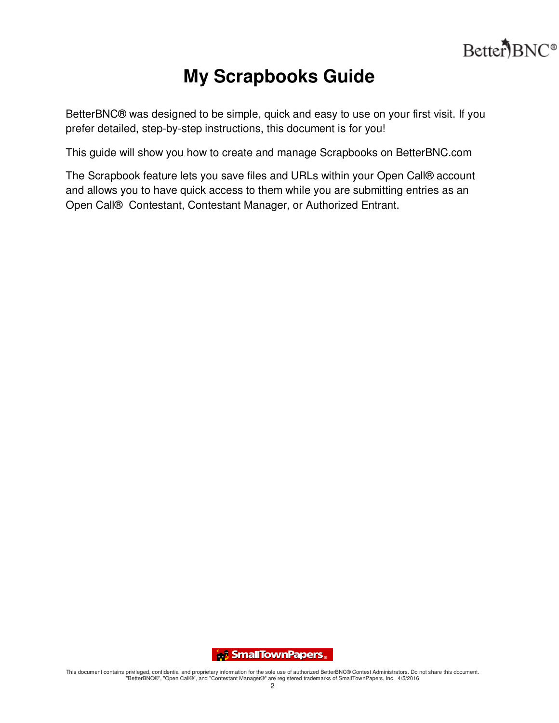

## **My Scrapbooks Guide**

BetterBNC® was designed to be simple, quick and easy to use on your first visit. If you prefer detailed, step-by-step instructions, this document is for you!

This guide will show you how to create and manage Scrapbooks on BetterBNC.com

The Scrapbook feature lets you save files and URLs within your Open Call® account and allows you to have quick access to them while you are submitting entries as an Open Call® Contestant, Contestant Manager, or Authorized Entrant.

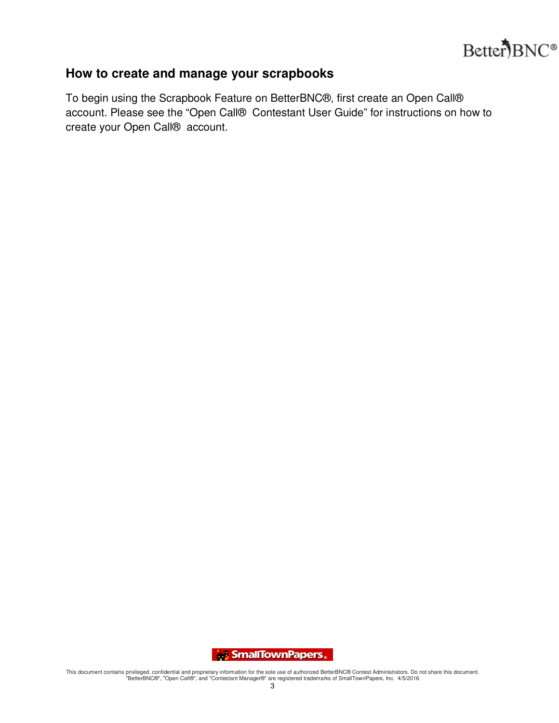

## **How to create and manage your scrapbooks**

To begin using the Scrapbook Feature on BetterBNC®, first create an Open Call® account. Please see the "Open Call® Contestant User Guide" for instructions on how to create your Open Call® account.

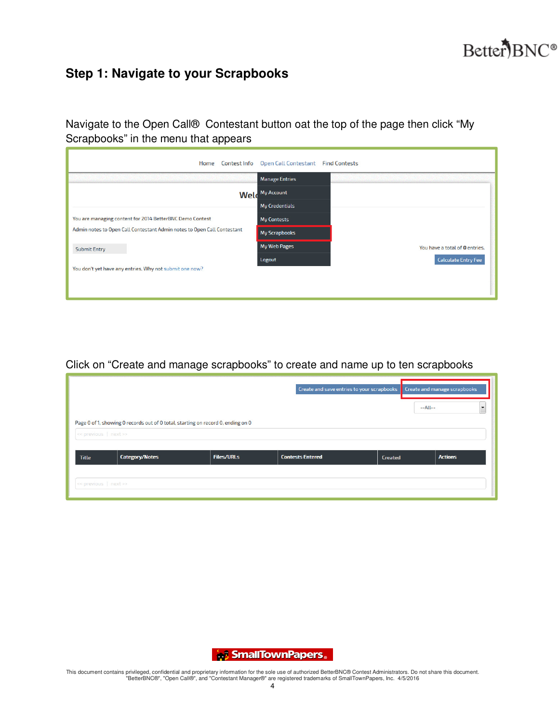

## **Step 1: Navigate to your Scrapbooks**

Navigate to the Open Call® Contestant button oat the top of the page then click "My Scrapbooks" in the menu that appears

| Home<br><b>Contest Info</b>                                             | Open Call Contestant Find Contests |                                |
|-------------------------------------------------------------------------|------------------------------------|--------------------------------|
|                                                                         | <b>Manage Entries</b>              |                                |
|                                                                         | <b>Weld</b> My Account             |                                |
|                                                                         | <b>My Credentials</b>              |                                |
| You are managing content for 2014 BetterBNC Demo Contest                | <b>My Contests</b>                 |                                |
| Admin notes to Open Call Contestant Admin notes to Open Call Contestant | My Scrapbooks                      |                                |
| <b>Submit Entry</b>                                                     | <b>My Web Pages</b>                | You have a total of 0 entries. |
|                                                                         | Logout                             | <b>Calculate Entry Fee</b>     |
| You don't yet have any entries. Why not submit one now?                 |                                    |                                |
|                                                                         |                                    |                                |
|                                                                         |                                    |                                |

Click on "Create and manage scrapbooks" to create and name up to ten scrapbooks

|                       |                                                                                  |                   | Create and save entries to your scrapbooks |                | Create and manage scrapbooks |
|-----------------------|----------------------------------------------------------------------------------|-------------------|--------------------------------------------|----------------|------------------------------|
|                       |                                                                                  |                   |                                            |                | $-All-$<br>$\cdot$           |
| << previous   next >> | Page 0 of 1, showing 0 records out of 0 total, starting on record 0, ending on 0 |                   |                                            |                |                              |
| <b>Title</b>          | <b>Category/Notes</b>                                                            | <b>Files/URLs</b> | <b>Contests Entered</b>                    | <b>Created</b> | <b>Actions</b>               |
|                       |                                                                                  |                   |                                            |                |                              |
| << previous   next >> |                                                                                  |                   |                                            |                |                              |

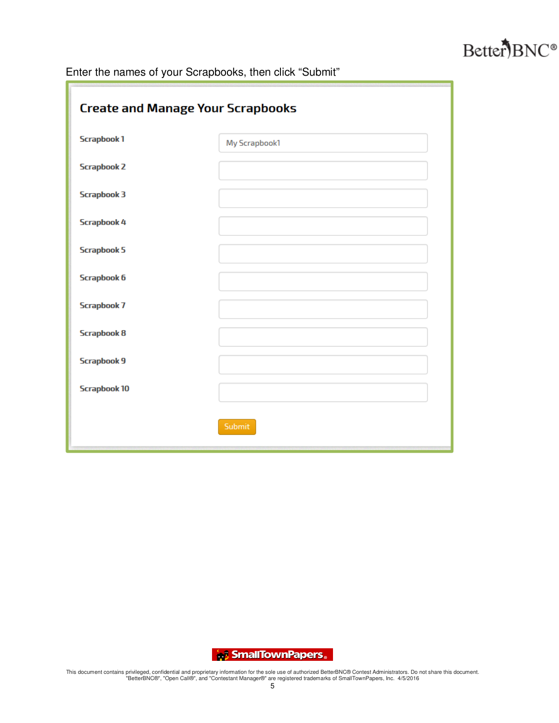

Enter the names of your Scrapbooks, then click "Submit"

| <b>Create and Manage Your Scrapbooks</b> |               |  |  |  |
|------------------------------------------|---------------|--|--|--|
| <b>Scrapbook1</b>                        | My Scrapbook1 |  |  |  |
| <b>Scrapbook 2</b>                       |               |  |  |  |
| <b>Scrapbook 3</b>                       |               |  |  |  |
| <b>Scrapbook 4</b>                       |               |  |  |  |
| <b>Scrapbook 5</b>                       |               |  |  |  |
| <b>Scrapbook 6</b>                       |               |  |  |  |
| <b>Scrapbook 7</b>                       |               |  |  |  |
| <b>Scrapbook 8</b>                       |               |  |  |  |
| <b>Scrapbook 9</b>                       |               |  |  |  |
| <b>Scrapbook 10</b>                      |               |  |  |  |
|                                          | Submit        |  |  |  |

SmallTownPapers.

This document contains privileged, confidential and proprietary information for the sole use of authorized BetterBNC® Contest Administrators. Do not share this document.<br>"BetterBNC®", "Open Call®", and "Contestant Manager®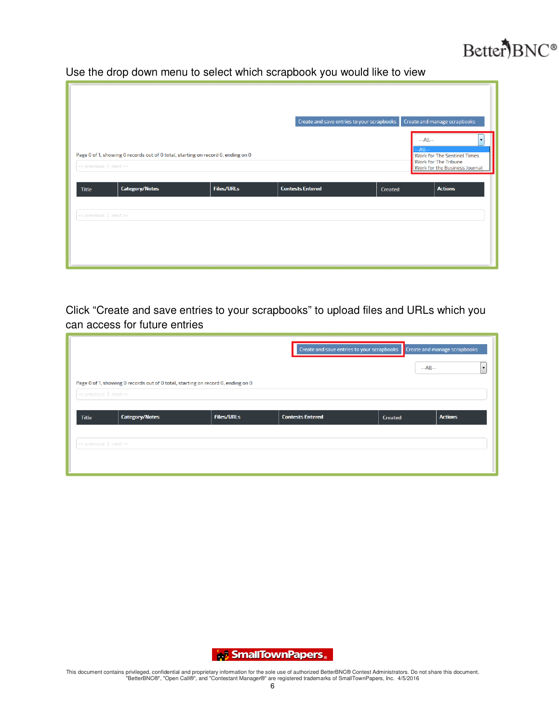

Use the drop down menu to select which scrapbook you would like to view

|                       |                                                                                  |                   | Create and save entries to your scrapbooks |                | Create and manage scrapbooks<br>$-All-$                                                                   |
|-----------------------|----------------------------------------------------------------------------------|-------------------|--------------------------------------------|----------------|-----------------------------------------------------------------------------------------------------------|
| << previous   next >> | Page 0 of 1, showing 0 records out of 0 total, starting on record 0, ending on 0 |                   |                                            | $-All--$       | <b>Work for The Sentinel Times</b><br><b>Work for The Tribune</b><br><b>Work for the Business Journal</b> |
| <b>Title</b>          | <b>Category/Notes</b>                                                            | <b>Files/URLs</b> | <b>Contests Entered</b>                    | <b>Created</b> | <b>Actions</b>                                                                                            |
| << previous   next >> |                                                                                  |                   |                                            |                |                                                                                                           |

Click "Create and save entries to your scrapbooks" to upload files and URLs which you can access for future entries

|                          |                                                                                  |                   | Create and save entries to your scrapbooks |                | <b>Create and manage scrapbooks</b> |
|--------------------------|----------------------------------------------------------------------------------|-------------------|--------------------------------------------|----------------|-------------------------------------|
|                          |                                                                                  |                   |                                            |                | $-All-$<br>$\overline{\phantom{a}}$ |
| $\le$ previous   next >> | Page 0 of 1, showing 0 records out of 0 total, starting on record 0, ending on 0 |                   |                                            |                |                                     |
| <b>Title</b>             | <b>Category/Notes</b>                                                            | <b>Files/URLs</b> | <b>Contests Entered</b>                    | <b>Created</b> | <b>Actions</b>                      |
| << previous   next >>    |                                                                                  |                   |                                            |                |                                     |
|                          |                                                                                  |                   |                                            |                |                                     |
|                          |                                                                                  |                   |                                            |                |                                     |

SmallTownPapers.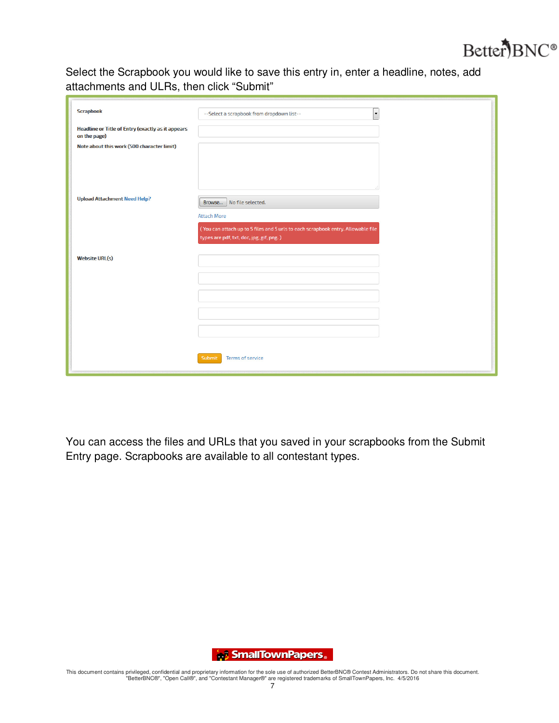

Select the Scrapbook you would like to save this entry in, enter a headline, notes, add attachments and ULRs, then click "Submit"

| <b>Scrapbook</b>                                                         | $\ddot{\phantom{1}}$<br>--Select a scrapbook from dropdown list--                                                            |
|--------------------------------------------------------------------------|------------------------------------------------------------------------------------------------------------------------------|
| <b>Headline or Title of Entry (exactly as it appears</b><br>on the page) |                                                                                                                              |
| Note about this work (500 character limit)                               |                                                                                                                              |
|                                                                          |                                                                                                                              |
|                                                                          |                                                                                                                              |
| <b>Upload Attachment Need Help?</b>                                      | Browse   No file selected.                                                                                                   |
|                                                                          | <b>Attach More</b>                                                                                                           |
|                                                                          | (You can attach up to 5 files and 5 urls to each scrapbook entry. Allowable file<br>types are pdf, txt, doc, jpg, gif, png.) |
|                                                                          |                                                                                                                              |
| <b>Website URL(s)</b>                                                    |                                                                                                                              |
|                                                                          |                                                                                                                              |
|                                                                          |                                                                                                                              |
|                                                                          |                                                                                                                              |
|                                                                          |                                                                                                                              |
|                                                                          |                                                                                                                              |
|                                                                          |                                                                                                                              |
|                                                                          |                                                                                                                              |
|                                                                          | <b>Terms of service</b><br>Submit                                                                                            |

You can access the files and URLs that you saved in your scrapbooks from the Submit Entry page. Scrapbooks are available to all contestant types.

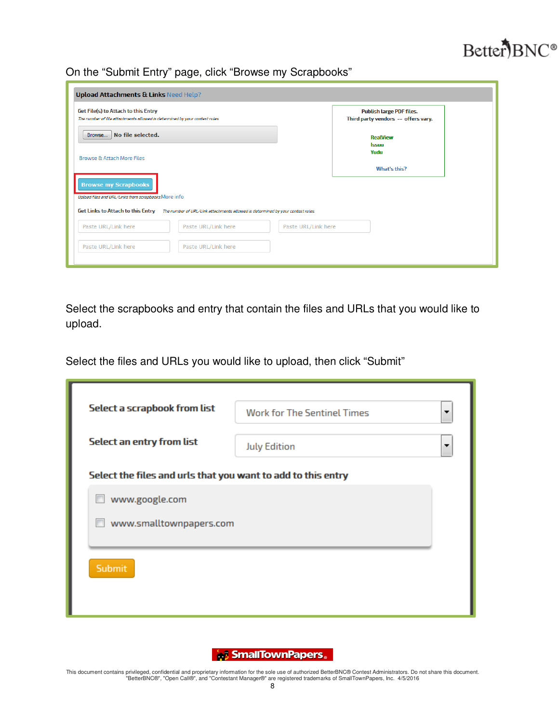

On the "Submit Entry" page, click "Browse my Scrapbooks"

| <b>Upload Attachments &amp; Links Need Help?</b>                                                                     |                                                                        |
|----------------------------------------------------------------------------------------------------------------------|------------------------------------------------------------------------|
| Get File(s) to Attach to this Entry<br>The number of file attachments allowed is determined by your contest rules.   | <b>Publish large PDF files.</b><br>Third party vendors -- offers vary. |
| Browse   No file selected.                                                                                           | <b>RealView</b><br><b>Issuu</b>                                        |
| <b>Browse &amp; Attach More Files</b>                                                                                | Yudu<br>What's this?                                                   |
| <b>Browse my Scrapbooks</b><br>Upload files and URL/Links from scrapbooks. More info                                 |                                                                        |
| Get Links to Attach to this Entry<br>The number of URL/Link attachments allowed is determined by your contest rules. |                                                                        |
| Paste URL/Link here<br>Paste URL/Link here<br>Paste URL/Link here                                                    |                                                                        |
| Paste URL/Link here<br>Paste URL/Link here                                                                           |                                                                        |

Select the scrapbooks and entry that contain the files and URLs that you would like to upload.

Select the files and URLs you would like to upload, then click "Submit"

| Select a scrapbook from list                                 | <b>Work for The Sentinel Times</b> | ▼ |
|--------------------------------------------------------------|------------------------------------|---|
| <b>Select an entry from list</b>                             | <b>July Edition</b>                | ▼ |
| Select the files and urls that you want to add to this entry |                                    |   |
| www.google.com                                               |                                    |   |
| www.smalltownpapers.com                                      |                                    |   |
| Submit                                                       |                                    |   |
|                                                              |                                    |   |

SmallTownPapers.